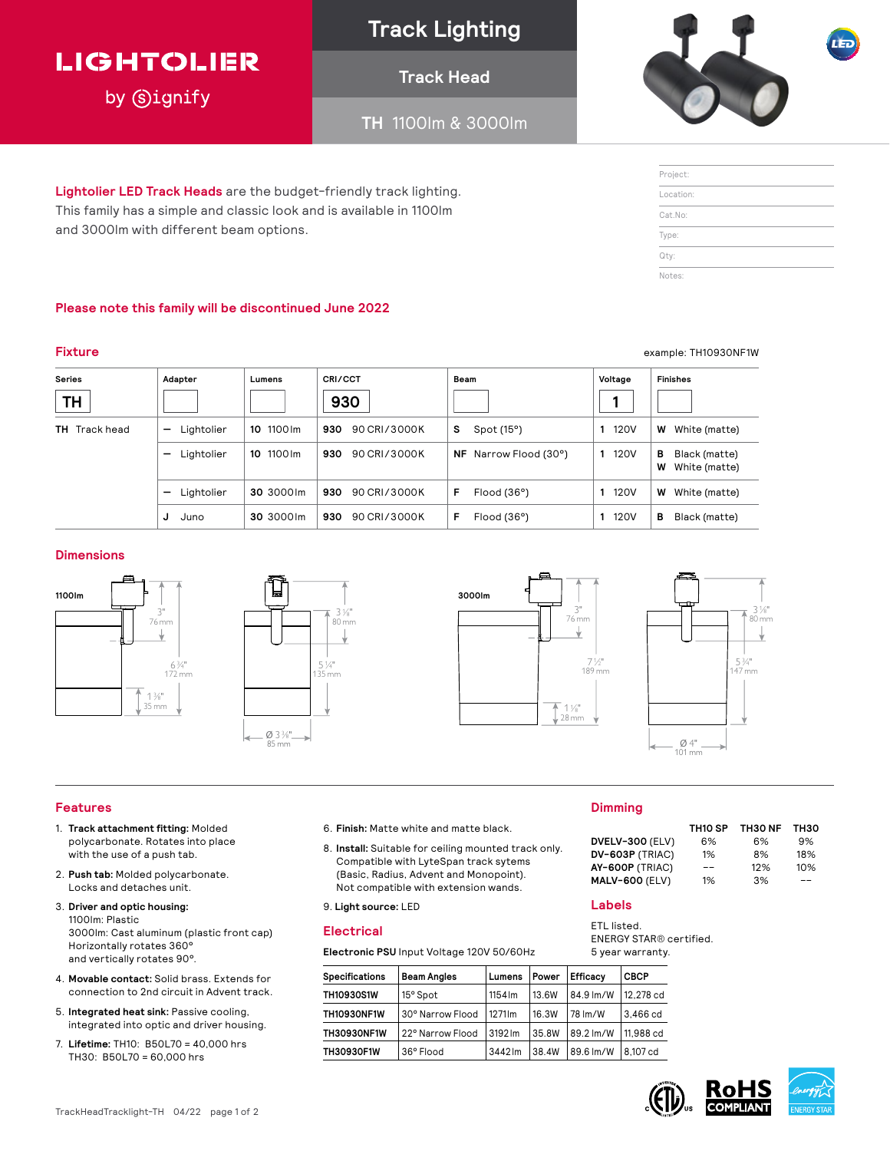## **LIGHTOLIER**

by **Signify** 

## **Track Lighting**

### **Track Head**

**TH** 1100lm & 3000lm



| Project:  |  |  |
|-----------|--|--|
| Location: |  |  |
| Cat.No:   |  |  |
| Type:     |  |  |
| Qty:      |  |  |
| Notes:    |  |  |

**Lightolier LED Track Heads** are the budget-friendly track lighting. This family has a simple and classic look and is available in 1100lm and 3000lm with different beam options.

#### **Please note this family will be discontinued June 2022**

#### **Series TH Adapter Lumens CRI/CCT 930 Beam Voltage 1 Finishes TH** Track head **—** Lightolier **10** 1100lm **930** 90 CRI/3000K **S** Spot (15°) **1** 120V **W** White (matte) **—** Lightolier **10** 1100lm **930** 90 CRI/3000K **NF** Narrow Flood (30°) **1** 120V **B** Black (matte) **W** White (matte) **—** Lightolier **30** 3000lm **930** 90 CRI/3000K **F** Flood (36°) **1** 120V **W** White (matte) **J** Juno **30** 3000lm **930** 90 CRI/3000K **F** Flood (36°) **1** 120V **B** Black (matte)

#### **Dimensions**









#### **Features**

- 1. **Track attachment fitting:** Molded polycarbonate. Rotates into place with the use of a push tab.
- 2. **Push tab:** Molded polycarbonate. Locks and detaches unit.
- 3. **Driver and optic housing:**  1100lm: Plastic 3000lm: Cast aluminum (plastic front cap) Horizontally rotates 360° and vertically rotates 90°.
- 4. **Movable contact:** Solid brass. Extends for connection to 2nd circuit in Advent track.
- 5. **Integrated heat sink:** Passive cooling, integrated into optic and driver housing.
- 7. **Lifetime:** TH10: B50L70 = 40,000 hrs TH30: B50L70 = 60,000 hrs
- 6. **Finish:** Matte white and matte black.
- 8. **Install:** Suitable for ceiling mounted track only. Compatible with LyteSpan track sytems (Basic, Radius, Advent and Monopoint). Not compatible with extension wands.

9. **Light source:** LED

#### **Electrical**

**Electronic PSU** Input Voltage 120V 50/60Hz

| <b>Specifications</b> | <b>Beam Angles</b> | Lumens  | Power | <b>Efficacy</b> | <b>CBCP</b> |
|-----------------------|--------------------|---------|-------|-----------------|-------------|
| <b>TH10930S1W</b>     | 15° Spot           | 1154 lm | 13.6W | 84.9 lm/W       | 12.278 cd   |
| <b>TH10930NF1W</b>    | 30° Narrow Flood   | 1271 lm | 16.3W | 78 lm/W         | 3.466 cd    |
| <b>TH30930NF1W</b>    | 22° Narrow Flood   | 3192 lm | 35.8W | 89.2 lm/W       | 11.988 cd   |
| <b>TH30930F1W</b>     | 36° Flood          | 3442 lm | 38.4W | 89.6 lm/W       | 8.107 cd    |

#### **Dimming**

| TH30  |
|-------|
| 9%    |
| 18%   |
| 10%   |
| $- -$ |
|       |

#### **Labels**

ETL listed. ENERGY STAR**®** certified. 5 year warranty.





- **Fixture** example: TH10930NF1W
	-